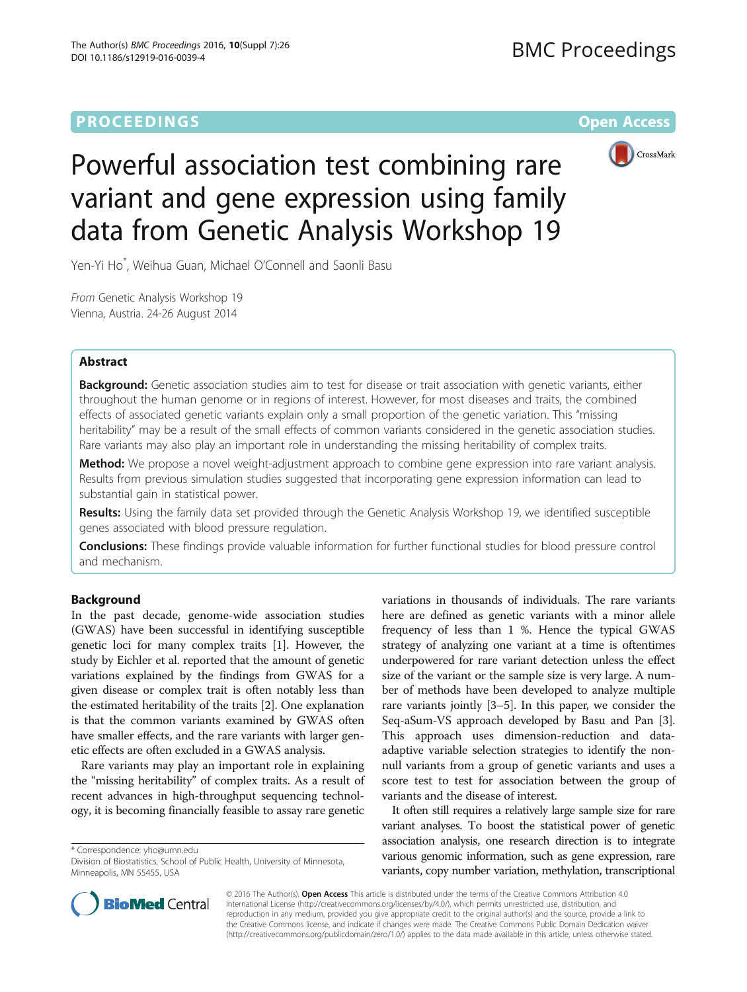## **PROCEEDINGS CONSUMING S** Open Access **CONSUMING S**



# Powerful association test combining rare variant and gene expression using family data from Genetic Analysis Workshop 19

Yen-Yi Ho\* , Weihua Guan, Michael O'Connell and Saonli Basu

From Genetic Analysis Workshop 19 Vienna, Austria. 24-26 August 2014

## Abstract

**Background:** Genetic association studies aim to test for disease or trait association with genetic variants, either throughout the human genome or in regions of interest. However, for most diseases and traits, the combined effects of associated genetic variants explain only a small proportion of the genetic variation. This "missing heritability" may be a result of the small effects of common variants considered in the genetic association studies. Rare variants may also play an important role in understanding the missing heritability of complex traits.

Method: We propose a novel weight-adjustment approach to combine gene expression into rare variant analysis. Results from previous simulation studies suggested that incorporating gene expression information can lead to substantial gain in statistical power.

Results: Using the family data set provided through the Genetic Analysis Workshop 19, we identified susceptible genes associated with blood pressure regulation.

**Conclusions:** These findings provide valuable information for further functional studies for blood pressure control and mechanism.

## Background

In the past decade, genome-wide association studies (GWAS) have been successful in identifying susceptible genetic loci for many complex traits [\[1](#page-4-0)]. However, the study by Eichler et al. reported that the amount of genetic variations explained by the findings from GWAS for a given disease or complex trait is often notably less than the estimated heritability of the traits [\[2](#page-4-0)]. One explanation is that the common variants examined by GWAS often have smaller effects, and the rare variants with larger genetic effects are often excluded in a GWAS analysis.

Rare variants may play an important role in explaining the "missing heritability" of complex traits. As a result of recent advances in high-throughput sequencing technology, it is becoming financially feasible to assay rare genetic

\* Correspondence: [yho@umn.edu](mailto:yho@umn.edu)

variations in thousands of individuals. The rare variants here are defined as genetic variants with a minor allele frequency of less than 1 %. Hence the typical GWAS strategy of analyzing one variant at a time is oftentimes underpowered for rare variant detection unless the effect size of the variant or the sample size is very large. A number of methods have been developed to analyze multiple rare variants jointly [\[3](#page-4-0)–[5\]](#page-4-0). In this paper, we consider the Seq-aSum-VS approach developed by Basu and Pan [[3](#page-4-0)]. This approach uses dimension-reduction and dataadaptive variable selection strategies to identify the nonnull variants from a group of genetic variants and uses a score test to test for association between the group of variants and the disease of interest.

It often still requires a relatively large sample size for rare variant analyses. To boost the statistical power of genetic association analysis, one research direction is to integrate various genomic information, such as gene expression, rare variants, copy number variation, methylation, transcriptional



© 2016 The Author(s). Open Access This article is distributed under the terms of the Creative Commons Attribution 4.0 International License [\(http://creativecommons.org/licenses/by/4.0/](http://creativecommons.org/licenses/by/4.0/)), which permits unrestricted use, distribution, and reproduction in any medium, provided you give appropriate credit to the original author(s) and the source, provide a link to the Creative Commons license, and indicate if changes were made. The Creative Commons Public Domain Dedication waiver [\(http://creativecommons.org/publicdomain/zero/1.0/](http://creativecommons.org/publicdomain/zero/1.0/)) applies to the data made available in this article, unless otherwise stated.

Division of Biostatistics, School of Public Health, University of Minnesota, Minneapolis, MN 55455, USA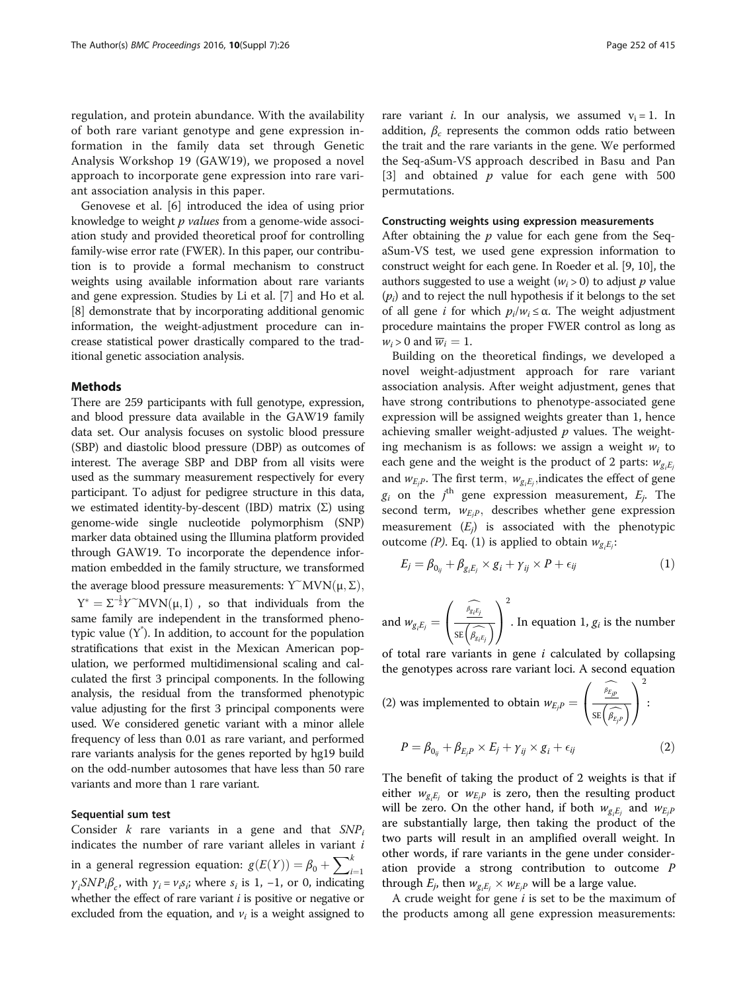<span id="page-1-0"></span>regulation, and protein abundance. With the availability of both rare variant genotype and gene expression information in the family data set through Genetic Analysis Workshop 19 (GAW19), we proposed a novel approach to incorporate gene expression into rare variant association analysis in this paper.

Genovese et al. [[6\]](#page-4-0) introduced the idea of using prior knowledge to weight *p values* from a genome-wide association study and provided theoretical proof for controlling family-wise error rate (FWER). In this paper, our contribution is to provide a formal mechanism to construct weights using available information about rare variants and gene expression. Studies by Li et al. [\[7\]](#page-4-0) and Ho et al. [[8\]](#page-4-0) demonstrate that by incorporating additional genomic information, the weight-adjustment procedure can increase statistical power drastically compared to the traditional genetic association analysis.

## Methods

There are 259 participants with full genotype, expression, and blood pressure data available in the GAW19 family data set. Our analysis focuses on systolic blood pressure (SBP) and diastolic blood pressure (DBP) as outcomes of interest. The average SBP and DBP from all visits were used as the summary measurement respectively for every participant. To adjust for pedigree structure in this data, we estimated identity-by-descent (IBD) matrix  $(\Sigma)$  using genome-wide single nucleotide polymorphism (SNP) marker data obtained using the Illumina platform provided through GAW19. To incorporate the dependence information embedded in the family structure, we transformed the average blood pressure measurements:  $Y^M V N(\mu, \Sigma)$ ,  $Y^* = \Sigma^{-\frac{1}{2}} Y^{\sim} MVN(\mu, I)$ , so that individuals from the same family are independent in the transformed phenotypic value (Y\* ). In addition, to account for the population stratifications that exist in the Mexican American population, we performed multidimensional scaling and calculated the first 3 principal components. In the following analysis, the residual from the transformed phenotypic value adjusting for the first 3 principal components were used. We considered genetic variant with a minor allele frequency of less than 0.01 as rare variant, and performed rare variants analysis for the genes reported by hg19 build on the odd-number autosomes that have less than 50 rare variants and more than 1 rare variant.

## Sequential sum test

Consider k rare variants in a gene and that  $SNP_i$ indicates the number of rare variant alleles in variant  $i$ in a general regression equation:  $g(E(Y)) = \beta_0 + \sum_{i=1}^k$  $\gamma_i$ SNP<sub>i</sub> $\beta_c$ , with  $\gamma_i = v_i s_i$ ; where  $s_i$  is 1, -1, or 0, indicating<br>whether the effect of reposition is positive or persive or whether the effect of rare variant  $i$  is positive or negative or excluded from the equation and  $\nu$  is a weight assigned to excluded from the equation, and  $v_i$  is a weight assigned to rare variant *i*. In our analysis, we assumed  $v_i = 1$ . In addition,  $\beta_c$  represents the common odds ratio between the trait and the rare variants in the gene. We performed the Seq-aSum-VS approach described in Basu and Pan [[3\]](#page-4-0) and obtained  $p$  value for each gene with 500 permutations.

## Constructing weights using expression measurements

After obtaining the  $p$  value for each gene from the SeqaSum-VS test, we used gene expression information to construct weight for each gene. In Roeder et al. [[9, 10](#page-4-0)], the authors suggested to use a weight ( $w_i > 0$ ) to adjust p value  $(p<sub>i</sub>)$  and to reject the null hypothesis if it belongs to the set of all gene *i* for which  $p_i/w_i \leq \alpha$ . The weight adjustment procedure maintains the proper FWER control as long as  $w_i > 0$  and  $\overline{w}_i = 1$ .

Building on the theoretical findings, we developed a novel weight-adjustment approach for rare variant association analysis. After weight adjustment, genes that have strong contributions to phenotype-associated gene expression will be assigned weights greater than 1, hence achieving smaller weight-adjusted  $p$  values. The weighting mechanism is as follows: we assign a weight  $w_i$  to each gene and the weight is the product of 2 parts:  $w_{g,E_i}$ and  $w_{E_i, P}$ . The first term,  $w_{g_i, E_j}$ , indicates the effect of gene  $g_i$  on the j<sup>th</sup> gene expression measurement,  $E_j$ . The second term,  $w_{E_iP}$ , describes whether gene expression measurement  $(E_i)$  is associated with the phenotypic outcome (*P*). Eq. (1) is applied to obtain  $w_{g_i E_j}$ :

$$
E_j = \beta_{0_{ij}} + \beta_{g_i E_j} \times g_i + \gamma_{ij} \times P + \epsilon_{ij}
$$
 (1)

and  $w_{g_i E_j} =$  $\frac{\beta_{g_i E_j}}{\beta}$  $SE\left(\beta_{g_iE_j}\right)$  $\widehat{(\mathcal{C})}$  $\sqrt{ }$  $\overline{1}$  $\setminus$  $\overline{1}$ 2 . In equation 1,  $g_i$  is the number

of total rare variants in gene  $i$  calculated by collapsing the genotypes across rare variant loci. A second equation

(2) was implemented to obtain 
$$
w_{E_i P} = \left(\frac{\widehat{\beta_{E_i p}}}{\text{SE}\left(\widehat{\beta_{E_i P}}\right)}\right)^2
$$
:

$$
P = \beta_{0_{ij}} + \beta_{E_j P} \times E_j + \gamma_{ij} \times g_i + \epsilon_{ij}
$$
 (2)

The benefit of taking the product of 2 weights is that if either  $w_{g,E_j}$  or  $w_{E_j}$  is zero, then the resulting product<br>will be zero. On the other band, if both  $w_{\text{max}}$  and  $w_{\text{max}}$ will be zero. On the other hand, if both  $w_{g_i E_j}$  and  $w_{E_j P}$ <br>are substantially large then taking the product of the are substantially large, then taking the product of the two parts will result in an amplified overall weight. In other words, if rare variants in the gene under consideration provide a strong contribution to outcome P through  $E_j$ , then  $w_{g_iE_j} \times w_{E_jP}$  will be a large value.<br>A crude weight for gene *i* is set to be the maxis

A crude weight for gene  $i$  is set to be the maximum of the products among all gene expression measurements: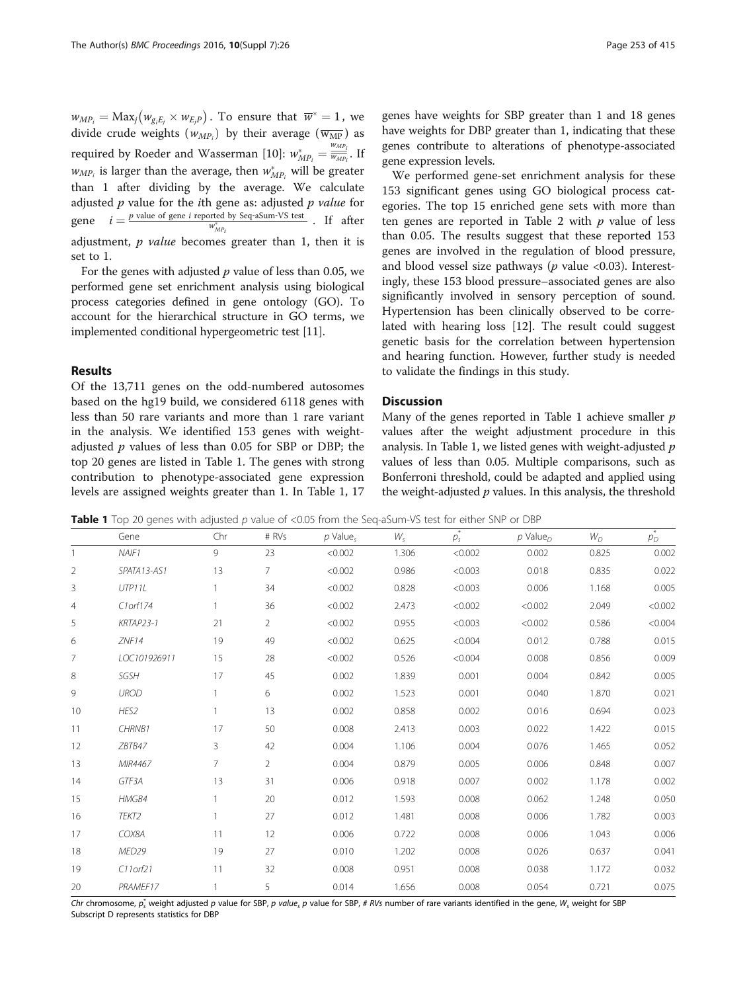<span id="page-2-0"></span> $w_{MP_i} = \text{Max}_j(w_{g_i E_j} \times w_{E_j P})$ . To ensure that  $\overline{w^*} = 1$ , we divide quade visitate (iii) by their example ( $\overline{w^*}$ ) and divide crude weights  $(w_{MP_i})$  by their average  $(\overline{w_{MP}})$  as required by Roeder and Wasserman [\[10](#page-4-0)]:  $w_{MP_i}^* = \frac{w_{MP_i}}{w_{MP_i}}$ . If  $w_{MP_i}$  is larger than the average, then  $w_{MP_i}^*$  will be greater<br>than 1 after dividing by the average. We coloulate than 1 after dividing by the average. We calculate adjusted *p* value for the *i*th gene as: adjusted *p value* for gene  $i = p$  value of gene *i* reported by Seq-aSum-VS test. gene  $i = \frac{p \text{ value of gene } i \text{ reported by Seq-aSum-VS test}}{w_{MP_i}^*}$ . If after  $w^*_{\Lambda}$ adjustment, *p value* becomes greater than 1, then it is set to 1.

For the genes with adjusted  $p$  value of less than 0.05, we performed gene set enrichment analysis using biological process categories defined in gene ontology (GO). To account for the hierarchical structure in GO terms, we implemented conditional hypergeometric test [\[11](#page-4-0)].

## Results

Of the 13,711 genes on the odd-numbered autosomes based on the hg19 build, we considered 6118 genes with less than 50 rare variants and more than 1 rare variant in the analysis. We identified 153 genes with weightadjusted  $p$  values of less than 0.05 for SBP or DBP; the top 20 genes are listed in Table 1. The genes with strong contribution to phenotype-associated gene expression levels are assigned weights greater than 1. In Table 1, 17

genes have weights for SBP greater than 1 and 18 genes have weights for DBP greater than 1, indicating that these genes contribute to alterations of phenotype-associated gene expression levels.

We performed gene-set enrichment analysis for these 153 significant genes using GO biological process categories. The top 15 enriched gene sets with more than ten genes are reported in Table [2](#page-3-0) with  $p$  value of less than 0.05. The results suggest that these reported 153 genes are involved in the regulation of blood pressure, and blood vessel size pathways ( $p$  value <0.03). Interestingly, these 153 blood pressure–associated genes are also significantly involved in sensory perception of sound. Hypertension has been clinically observed to be correlated with hearing loss [[12](#page-4-0)]. The result could suggest genetic basis for the correlation between hypertension and hearing function. However, further study is needed to validate the findings in this study.

## **Discussion**

Many of the genes reported in Table 1 achieve smaller  $p$ values after the weight adjustment procedure in this analysis. In Table 1, we listed genes with weight-adjusted  $p$ values of less than 0.05. Multiple comparisons, such as Bonferroni threshold, could be adapted and applied using the weight-adjusted  $p$  values. In this analysis, the threshold

**Table 1** Top 20 genes with adjusted  $p$  value of <0.05 from the Seq-aSum-VS test for either SNP or DBP

|    | Gene              | Chr            | # RVs          | $p$ Value <sub>s</sub> | $W_{s}$ | $p_{s}$ | $p$ Value <sub>o</sub> | $W_D$ | $p_D$   |
|----|-------------------|----------------|----------------|------------------------|---------|---------|------------------------|-------|---------|
|    | NAIF1             | 9              | 23             | < 0.002                | 1.306   | < 0.002 | 0.002                  | 0.825 | 0.002   |
| 2  | SPATA13-AS1       | 13             | 7              | < 0.002                | 0.986   | < 0.003 | 0.018                  | 0.835 | 0.022   |
| 3  | UTP11L            |                | 34             | < 0.002                | 0.828   | < 0.003 | 0.006                  | 1.168 | 0.005   |
| 4  | $C1$ orf $174$    | 1              | 36             | < 0.002                | 2.473   | < 0.002 | < 0.002                | 2.049 | < 0.002 |
| 5  | KRTAP23-1         | 21             | 2              | < 0.002                | 0.955   | < 0.003 | < 0.002                | 0.586 | < 0.004 |
| 6  | ZNF14             | 19             | 49             | < 0.002                | 0.625   | < 0.004 | 0.012                  | 0.788 | 0.015   |
| 7  | LOC101926911      | 15             | 28             | < 0.002                | 0.526   | < 0.004 | 0.008                  | 0.856 | 0.009   |
| 8  | SGSH              | 17             | 45             | 0.002                  | 1.839   | 0.001   | 0.004                  | 0.842 | 0.005   |
| 9  | <b>UROD</b>       | $\mathbf{1}$   | 6              | 0.002                  | 1.523   | 0.001   | 0.040                  | 1.870 | 0.021   |
| 10 | HES2              | 1              | 13             | 0.002                  | 0.858   | 0.002   | 0.016                  | 0.694 | 0.023   |
| 11 | <b>CHRNB1</b>     | 17             | 50             | 0.008                  | 2.413   | 0.003   | 0.022                  | 1.422 | 0.015   |
| 12 | ZBTB47            | 3              | 42             | 0.004                  | 1.106   | 0.004   | 0.076                  | 1.465 | 0.052   |
| 13 | MIR4467           | $\overline{7}$ | $\overline{2}$ | 0.004                  | 0.879   | 0.005   | 0.006                  | 0.848 | 0.007   |
| 14 | GTF3A             | 13             | 31             | 0.006                  | 0.918   | 0.007   | 0.002                  | 1.178 | 0.002   |
| 15 | HMGB4             | 1              | 20             | 0.012                  | 1.593   | 0.008   | 0.062                  | 1.248 | 0.05C   |
| 16 | TEKT <sub>2</sub> | $\mathbf{1}$   | 27             | 0.012                  | 1.481   | 0.008   | 0.006                  | 1.782 | 0.003   |
| 17 | COX8A             | 11             | 12             | 0.006                  | 0.722   | 0.008   | 0.006                  | 1.043 | 0.006   |
| 18 | MED29             | 19             | 27             | 0.010                  | 1.202   | 0.008   | 0.026                  | 0.637 | 0.041   |
| 19 | $C11$ orf $21$    | 11             | 32             | 0.008                  | 0.951   | 0.008   | 0.038                  | 1.172 | 0.032   |
| 20 | PRAMEF17          | 1              | 5              | 0.014                  | 1.656   | 0.008   | 0.054                  | 0.721 | 0.075   |

Chr chromosome,  $p_s^*$  weight adjusted  $p$  value for SBP,  $p$  value for SBP, # RVs number of rare variants identified in the gene,  $W_s$  weight for SBP Subscript D represents statistics for DBP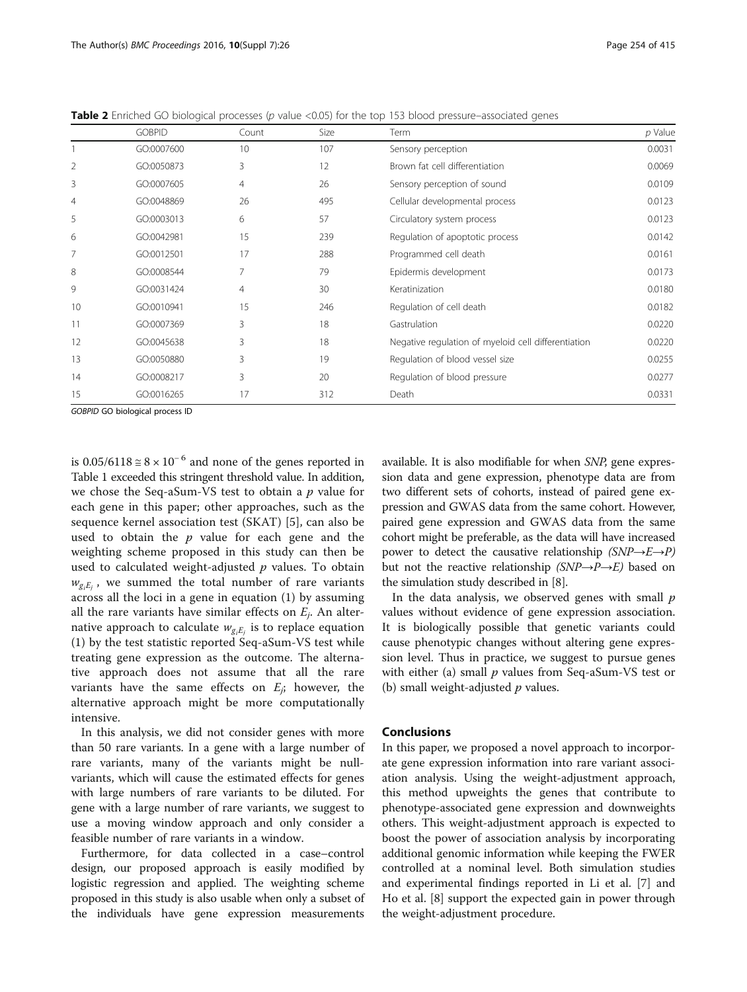|                | <b>GOBPID</b> | Count          | Size | Term                                                | $p$ Value |
|----------------|---------------|----------------|------|-----------------------------------------------------|-----------|
|                | GO:0007600    | 10             | 107  | Sensory perception                                  | 0.0031    |
| 2              | GO:0050873    | 3              | 12   | Brown fat cell differentiation                      | 0.0069    |
| 3              | GO:0007605    | $\overline{4}$ | 26   | Sensory perception of sound                         | 0.0109    |
| $\overline{4}$ | GO:0048869    | 26             | 495  | Cellular developmental process                      | 0.0123    |
| 5              | GO:0003013    | 6              | 57   | Circulatory system process                          | 0.0123    |
| 6              | GO:0042981    | 15             | 239  | Regulation of apoptotic process                     | 0.0142    |
| 7              | GO:0012501    | 17             | 288  | Programmed cell death                               | 0.0161    |
| 8              | GO:0008544    | 7              | 79   | Epidermis development                               | 0.0173    |
| 9              | GO:0031424    | $\overline{4}$ | 30   | Keratinization                                      | 0.0180    |
| 10             | GO:0010941    | 15             | 246  | Regulation of cell death                            | 0.0182    |
| 11             | GO:0007369    | 3              | 18   | Gastrulation                                        | 0.0220    |
| 12             | GO:0045638    | 3              | 18   | Negative regulation of myeloid cell differentiation | 0.0220    |
| 13             | GO:0050880    | 3              | 19   | Regulation of blood vessel size                     | 0.0255    |
| 14             | GO:0008217    | 3              | 20   | Regulation of blood pressure                        | 0.0277    |
| 15             | GO:0016265    | 17             | 312  | Death                                               | 0.0331    |

<span id="page-3-0"></span>Table 2 Enriched GO biological processes (p value <0.05) for the top 153 blood pressure–associated genes

GOBPID GO biological process ID

is  $0.05/6118 ≅ 8 × 10<sup>-6</sup>$  and none of the genes reported in Table [1](#page-2-0) exceeded this stringent threshold value. In addition, we chose the Seq-aSum-VS test to obtain a  $p$  value for each gene in this paper; other approaches, such as the sequence kernel association test (SKAT) [[5\]](#page-4-0), can also be used to obtain the  $p$  value for each gene and the weighting scheme proposed in this study can then be used to calculated weight-adjusted  $p$  values. To obtain  $\frac{g_{i}}{g_{i}}$  across all the loci in a gene in equation ([1\)](#page-1-0) by assuming  $W_{\sigma,E_i}$ , we summed the total number of rare variants all the rare variants have similar effects on  $E_i$ . An alternative approach to calculate  $w_{g,E_j}$  is to replace equation<br>(1) by the test statistic reported Seq. Sum. VS test while ([1\)](#page-1-0) by the test statistic reported Seq-aSum-VS test while treating gene expression as the outcome. The alternative approach does not assume that all the rare variants have the same effects on  $E_j$ ; however, the alternative approach might be more computationally intensive.

In this analysis, we did not consider genes with more than 50 rare variants. In a gene with a large number of rare variants, many of the variants might be nullvariants, which will cause the estimated effects for genes with large numbers of rare variants to be diluted. For gene with a large number of rare variants, we suggest to use a moving window approach and only consider a feasible number of rare variants in a window.

Furthermore, for data collected in a case–control design, our proposed approach is easily modified by logistic regression and applied. The weighting scheme proposed in this study is also usable when only a subset of the individuals have gene expression measurements

available. It is also modifiable for when SNP, gene expression data and gene expression, phenotype data are from two different sets of cohorts, instead of paired gene expression and GWAS data from the same cohort. However, paired gene expression and GWAS data from the same cohort might be preferable, as the data will have increased power to detect the causative relationship  $(SNP \rightarrow E \rightarrow P)$ but not the reactive relationship  $(SNP \rightarrow P \rightarrow E)$  based on the simulation study described in [\[8\]](#page-4-0).

In the data analysis, we observed genes with small  $p$ values without evidence of gene expression association. It is biologically possible that genetic variants could cause phenotypic changes without altering gene expression level. Thus in practice, we suggest to pursue genes with either (a) small  $p$  values from Seq-aSum-VS test or (b) small weight-adjusted  $p$  values.

## Conclusions

In this paper, we proposed a novel approach to incorporate gene expression information into rare variant association analysis. Using the weight-adjustment approach, this method upweights the genes that contribute to phenotype-associated gene expression and downweights others. This weight-adjustment approach is expected to boost the power of association analysis by incorporating additional genomic information while keeping the FWER controlled at a nominal level. Both simulation studies and experimental findings reported in Li et al. [\[7\]](#page-4-0) and Ho et al. [\[8](#page-4-0)] support the expected gain in power through the weight-adjustment procedure.